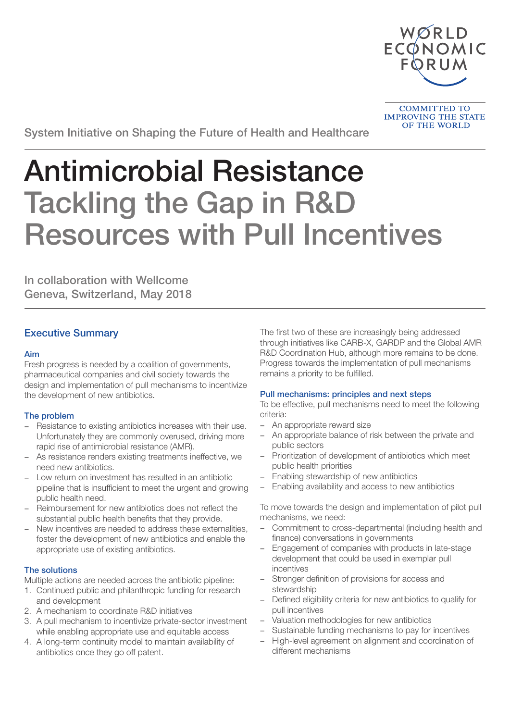

**COMMITTED TO IMPROVING THE STATE OF THE WORLD** 

System Initiative on Shaping the Future of Health and Healthcare

# Antimicrobial Resistance Tackling the Gap in R&D Resources with Pull Incentives

In collaboration with Wellcome Geneva, Switzerland, May 2018

# Executive Summary

# Aim

Fresh progress is needed by a coalition of governments, pharmaceutical companies and civil society towards the design and implementation of pull mechanisms to incentivize the development of new antibiotics.

# The problem

- Resistance to existing antibiotics increases with their use. Unfortunately they are commonly overused, driving more rapid rise of antimicrobial resistance (AMR).
- As resistance renders existing treatments ineffective, we need new antibiotics.
- Low return on investment has resulted in an antibiotic pipeline that is insufficient to meet the urgent and growing public health need.
- Reimbursement for new antibiotics does not reflect the substantial public health benefits that they provide.
- New incentives are needed to address these externalities, foster the development of new antibiotics and enable the appropriate use of existing antibiotics.

# The solutions

Multiple actions are needed across the antibiotic pipeline:

- 1. Continued public and philanthropic funding for research and development
- 2. A mechanism to coordinate R&D initiatives
- 3. A pull mechanism to incentivize private-sector investment while enabling appropriate use and equitable access
- 4. A long-term continuity model to maintain availability of antibiotics once they go off patent.

The first two of these are increasingly being addressed through initiatives like CARB-X, GARDP and the Global AMR R&D Coordination Hub, although more remains to be done. Progress towards the implementation of pull mechanisms remains a priority to be fulfilled.

# Pull mechanisms: principles and next steps

To be effective, pull mechanisms need to meet the following criteria:

- An appropriate reward size
- An appropriate balance of risk between the private and public sectors
- Prioritization of development of antibiotics which meet public health priorities
- Enabling stewardship of new antibiotics
- Enabling availability and access to new antibiotics

To move towards the design and implementation of pilot pull mechanisms, we need:

- Commitment to cross-departmental (including health and finance) conversations in governments
- Engagement of companies with products in late-stage development that could be used in exemplar pull incentives
- Stronger definition of provisions for access and stewardship
- Defined eligibility criteria for new antibiotics to qualify for pull incentives
- Valuation methodologies for new antibiotics
- Sustainable funding mechanisms to pay for incentives
- High-level agreement on alignment and coordination of different mechanisms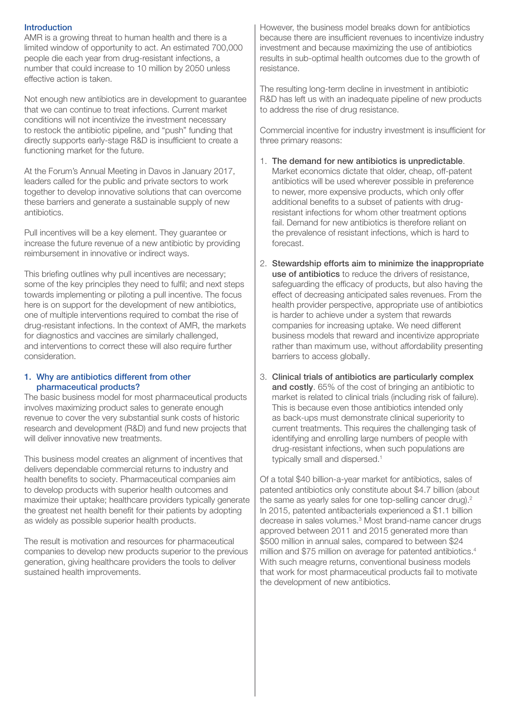#### Introduction

AMR is a growing threat to human health and there is a limited window of opportunity to act. An estimated 700,000 people die each year from drug-resistant infections, a number that could increase to 10 million by 2050 unless effective action is taken.

Not enough new antibiotics are in development to guarantee that we can continue to treat infections. Current market conditions will not incentivize the investment necessary to restock the antibiotic pipeline, and "push" funding that directly supports early-stage R&D is insufficient to create a functioning market for the future.

At the Forum's Annual Meeting in Davos in January 2017, leaders called for the public and private sectors to work together to develop innovative solutions that can overcome these barriers and generate a sustainable supply of new antibiotics.

Pull incentives will be a key element. They guarantee or increase the future revenue of a new antibiotic by providing reimbursement in innovative or indirect ways.

This briefing outlines why pull incentives are necessary; some of the key principles they need to fulfil; and next steps towards implementing or piloting a pull incentive. The focus here is on support for the development of new antibiotics, one of multiple interventions required to combat the rise of drug-resistant infections. In the context of AMR, the markets for diagnostics and vaccines are similarly challenged, and interventions to correct these will also require further consideration.

#### 1. Why are antibiotics different from other pharmaceutical products?

The basic business model for most pharmaceutical products involves maximizing product sales to generate enough revenue to cover the very substantial sunk costs of historic research and development (R&D) and fund new projects that will deliver innovative new treatments.

This business model creates an alignment of incentives that delivers dependable commercial returns to industry and health benefits to society. Pharmaceutical companies aim to develop products with superior health outcomes and maximize their uptake; healthcare providers typically generate the greatest net health benefit for their patients by adopting as widely as possible superior health products.

The result is motivation and resources for pharmaceutical companies to develop new products superior to the previous generation, giving healthcare providers the tools to deliver sustained health improvements.

However, the business model breaks down for antibiotics because there are insufficient revenues to incentivize industry investment and because maximizing the use of antibiotics results in sub-optimal health outcomes due to the growth of resistance.

The resulting long-term decline in investment in antibiotic R&D has left us with an inadequate pipeline of new products to address the rise of drug resistance.

Commercial incentive for industry investment is insufficient for three primary reasons:

- 1. The demand for new antibiotics is unpredictable. Market economics dictate that older, cheap, off-patent antibiotics will be used wherever possible in preference to newer, more expensive products, which only offer additional benefits to a subset of patients with drugresistant infections for whom other treatment options fail. Demand for new antibiotics is therefore reliant on the prevalence of resistant infections, which is hard to forecast.
- 2. Stewardship efforts aim to minimize the inappropriate use of antibiotics to reduce the drivers of resistance, safeguarding the efficacy of products, but also having the effect of decreasing anticipated sales revenues. From the health provider perspective, appropriate use of antibiotics is harder to achieve under a system that rewards companies for increasing uptake. We need different business models that reward and incentivize appropriate rather than maximum use, without affordability presenting barriers to access globally.
- 3. Clinical trials of antibiotics are particularly complex and costly. 65% of the cost of bringing an antibiotic to market is related to clinical trials (including risk of failure). This is because even those antibiotics intended only as back-ups must demonstrate clinical superiority to current treatments. This requires the challenging task of identifying and enrolling large numbers of people with drug-resistant infections, when such populations are typically small and dispersed.<sup>1</sup>

Of a total \$40 billion-a-year market for antibiotics, sales of patented antibiotics only constitute about \$4.7 billion (about the same as yearly sales for one top-selling cancer drug).<sup>2</sup> In 2015, patented antibacterials experienced a \$1.1 billion decrease in sales volumes.<sup>3</sup> Most brand-name cancer drugs approved between 2011 and 2015 generated more than \$500 million in annual sales, compared to between \$24 million and \$75 million on average for patented antibiotics.<sup>4</sup> With such meagre returns, conventional business models that work for most pharmaceutical products fail to motivate the development of new antibiotics.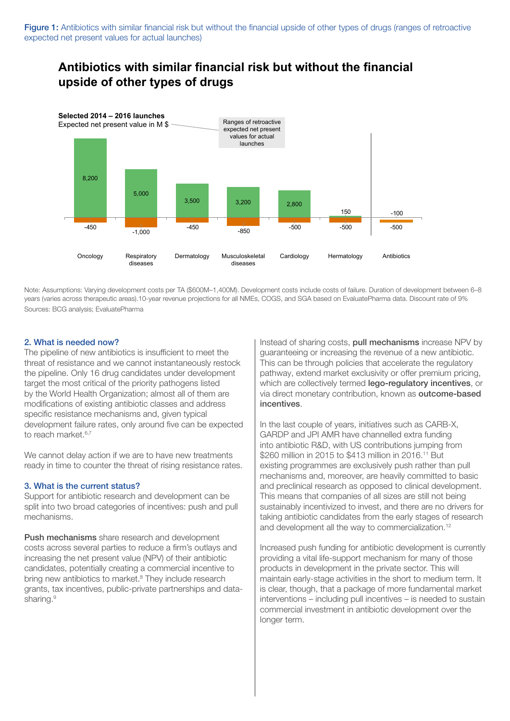# **Antibiotics with similar financial risk but without the financial upside of other types of drugs**



Note: Assumptions: Varying development costs per TA (\$600M–1,400M). Development costs include costs of failure. Duration of development between 6–8 years (varies across therapeutic areas).10-year revenue projections for all NMEs, COGS, and SGA based on EvaluatePharma data. Discount rate of 9% Sources: BCG analysis; EvaluatePharma

# 2. What is needed now?

The pipeline of new antibiotics is insufficient to meet the threat of resistance and we cannot instantaneously restock the pipeline. Only 16 drug candidates under development target the most critical of the priority pathogens listed by the World Health Organization; almost all of them are modifications of existing antibiotic classes and address specific resistance mechanisms and, given typical development failure rates, only around five can be expected to reach market.<sup>6,7</sup>

We cannot delay action if we are to have new treatments ready in time to counter the threat of rising resistance rates.

# 3. What is the current status?

Support for antibiotic research and development can be split into two broad categories of incentives: push and pull mechanisms.

Push mechanisms share research and development costs across several parties to reduce a firm's outlays and increasing the net present value (NPV) of their antibiotic candidates, potentially creating a commercial incentive to bring new antibiotics to market.<sup>8</sup> They include research grants, tax incentives, public-private partnerships and datasharing.<sup>9</sup>

Instead of sharing costs, pull mechanisms increase NPV by guaranteeing or increasing the revenue of a new antibiotic. This can be through policies that accelerate the regulatory pathway, extend market exclusivity or offer premium pricing, which are collectively termed **lego-regulatory incentives**, or via direct monetary contribution, known as outcome-based incentives.

In the last couple of years, initiatives such as CARB-X, GARDP and JPI AMR have channelled extra funding into antibiotic R&D, with US contributions jumping from \$260 million in 2015 to \$413 million in 2016.<sup>11</sup> But existing programmes are exclusively push rather than pull mechanisms and, moreover, are heavily committed to basic and preclinical research as opposed to clinical development. This means that companies of all sizes are still not being sustainably incentivized to invest, and there are no drivers for taking antibiotic candidates from the early stages of research and development all the way to commercialization.<sup>12</sup>

Increased push funding for antibiotic development is currently providing a vital life-support mechanism for many of those products in development in the private sector. This will maintain early-stage activities in the short to medium term. It is clear, though, that a package of more fundamental market interventions – including pull incentives – is needed to sustain commercial investment in antibiotic development over the longer term.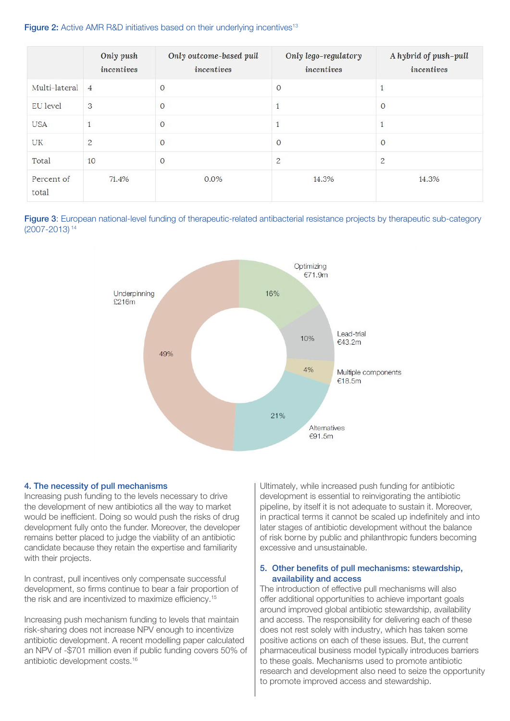# Figure 2: Active AMR R&D initiatives based on their underlying incentives<sup>13</sup>

|                     | Only push<br>incentives | Only outcome-based pull<br>incentives | Only lego-regulatory<br>incentives | A hybrid of push-pull<br>incentives |
|---------------------|-------------------------|---------------------------------------|------------------------------------|-------------------------------------|
| Multi-lateral       | $\overline{4}$          | $\mathbf{0}$                          | $\overline{0}$                     | $\mathbf{1}$                        |
| <b>EU</b> level     | 3                       | $\overline{0}$                        |                                    | $\overline{0}$                      |
| <b>USA</b>          | 1                       | $\mathbf{0}$                          |                                    | $\overline{1}$                      |
| UK                  | $\overline{c}$          | $\overline{0}$                        | $\overline{0}$                     | $\overline{0}$                      |
| Total               | 10                      | $\mathbf{0}$                          | $\overline{c}$                     | $\overline{c}$                      |
| Percent of<br>total | 71.4%                   | $0.0\%$                               | 14.3%                              | 14.3%                               |





# 4. The necessity of pull mechanisms

Increasing push funding to the levels necessary to drive the development of new antibiotics all the way to market would be inefficient. Doing so would push the risks of drug development fully onto the funder. Moreover, the developer remains better placed to judge the viability of an antibiotic candidate because they retain the expertise and familiarity with their projects.

In contrast, pull incentives only compensate successful development, so firms continue to bear a fair proportion of the risk and are incentivized to maximize efficiency.<sup>15</sup>

Increasing push mechanism funding to levels that maintain risk-sharing does not increase NPV enough to incentivize antibiotic development. A recent modelling paper calculated an NPV of -\$701 million even if public funding covers 50% of antibiotic development costs.16

Ultimately, while increased push funding for antibiotic development is essential to reinvigorating the antibiotic pipeline, by itself it is not adequate to sustain it. Moreover, in practical terms it cannot be scaled up indefinitely and into later stages of antibiotic development without the balance of risk borne by public and philanthropic funders becoming excessive and unsustainable.

#### 5. Other benefits of pull mechanisms: stewardship, availability and access

The introduction of effective pull mechanisms will also offer additional opportunities to achieve important goals around improved global antibiotic stewardship, availability and access. The responsibility for delivering each of these does not rest solely with industry, which has taken some positive actions on each of these issues. But, the current pharmaceutical business model typically introduces barriers to these goals. Mechanisms used to promote antibiotic research and development also need to seize the opportunity to promote improved access and stewardship.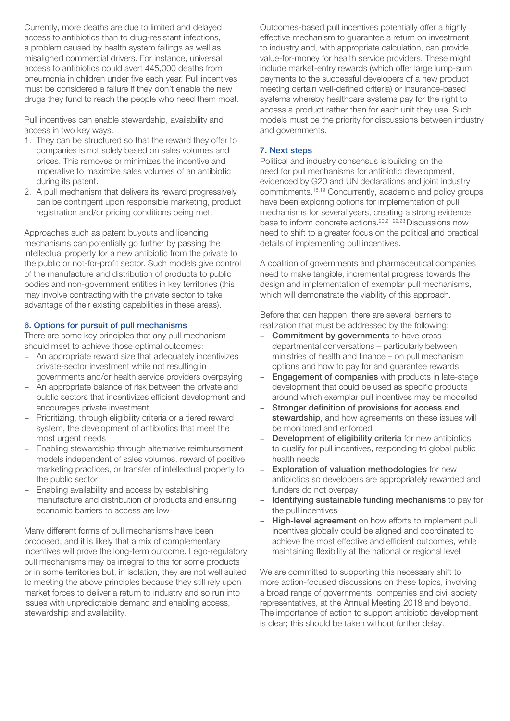Currently, more deaths are due to limited and delayed access to antibiotics than to drug-resistant infections, a problem caused by health system failings as well as misaligned commercial drivers. For instance, universal access to antibiotics could avert 445,000 deaths from pneumonia in children under five each year. Pull incentives must be considered a failure if they don't enable the new drugs they fund to reach the people who need them most.

Pull incentives can enable stewardship, availability and access in two key ways.

- 1. They can be structured so that the reward they offer to companies is not solely based on sales volumes and prices. This removes or minimizes the incentive and imperative to maximize sales volumes of an antibiotic during its patent.
- 2. A pull mechanism that delivers its reward progressively can be contingent upon responsible marketing, product registration and/or pricing conditions being met.

Approaches such as patent buyouts and licencing mechanisms can potentially go further by passing the intellectual property for a new antibiotic from the private to the public or not-for-profit sector. Such models give control of the manufacture and distribution of products to public bodies and non-government entities in key territories (this may involve contracting with the private sector to take advantage of their existing capabilities in these areas).

# 6. Options for pursuit of pull mechanisms

There are some key principles that any pull mechanism should meet to achieve those optimal outcomes:

- An appropriate reward size that adequately incentivizes private-sector investment while not resulting in governments and/or health service providers overpaying
- An appropriate balance of risk between the private and public sectors that incentivizes efficient development and encourages private investment
- Prioritizing, through eligibility criteria or a tiered reward system, the development of antibiotics that meet the most urgent needs
- Enabling stewardship through alternative reimbursement models independent of sales volumes, reward of positive marketing practices, or transfer of intellectual property to the public sector
- Enabling availability and access by establishing manufacture and distribution of products and ensuring economic barriers to access are low

Many different forms of pull mechanisms have been proposed, and it is likely that a mix of complementary incentives will prove the long-term outcome. Lego-regulatory pull mechanisms may be integral to this for some products or in some territories but, in isolation, they are not well suited to meeting the above principles because they still rely upon market forces to deliver a return to industry and so run into issues with unpredictable demand and enabling access, stewardship and availability.

Outcomes-based pull incentives potentially offer a highly effective mechanism to guarantee a return on investment to industry and, with appropriate calculation, can provide value-for-money for health service providers. These might include market-entry rewards (which offer large lump-sum payments to the successful developers of a new product meeting certain well-defined criteria) or insurance-based systems whereby healthcare systems pay for the right to access a product rather than for each unit they use. Such models must be the priority for discussions between industry and governments.

## 7. Next steps

Political and industry consensus is building on the need for pull mechanisms for antibiotic development, evidenced by G20 and UN declarations and joint industry commitments.18,19 Concurrently, academic and policy groups have been exploring options for implementation of pull mechanisms for several years, creating a strong evidence base to inform concrete actions.20,21,22,23 Discussions now need to shift to a greater focus on the political and practical details of implementing pull incentives.

A coalition of governments and pharmaceutical companies need to make tangible, incremental progress towards the design and implementation of exemplar pull mechanisms, which will demonstrate the viability of this approach.

Before that can happen, there are several barriers to realization that must be addressed by the following:

- **Commitment by governments** to have crossdepartmental conversations – particularly between ministries of health and finance – on pull mechanism options and how to pay for and guarantee rewards
- Engagement of companies with products in late-stage development that could be used as specific products around which exemplar pull incentives may be modelled
- Stronger definition of provisions for access and stewardship, and how agreements on these issues will be monitored and enforced
- Development of eligibility criteria for new antibiotics to qualify for pull incentives, responding to global public health needs
- Exploration of valuation methodologies for new antibiotics so developers are appropriately rewarded and funders do not overpay
- Identifying sustainable funding mechanisms to pay for the pull incentives
- High-level agreement on how efforts to implement pull incentives globally could be aligned and coordinated to achieve the most effective and efficient outcomes, while maintaining flexibility at the national or regional level

We are committed to supporting this necessary shift to more action-focused discussions on these topics, involving a broad range of governments, companies and civil society representatives, at the Annual Meeting 2018 and beyond. The importance of action to support antibiotic development is clear; this should be taken without further delay.